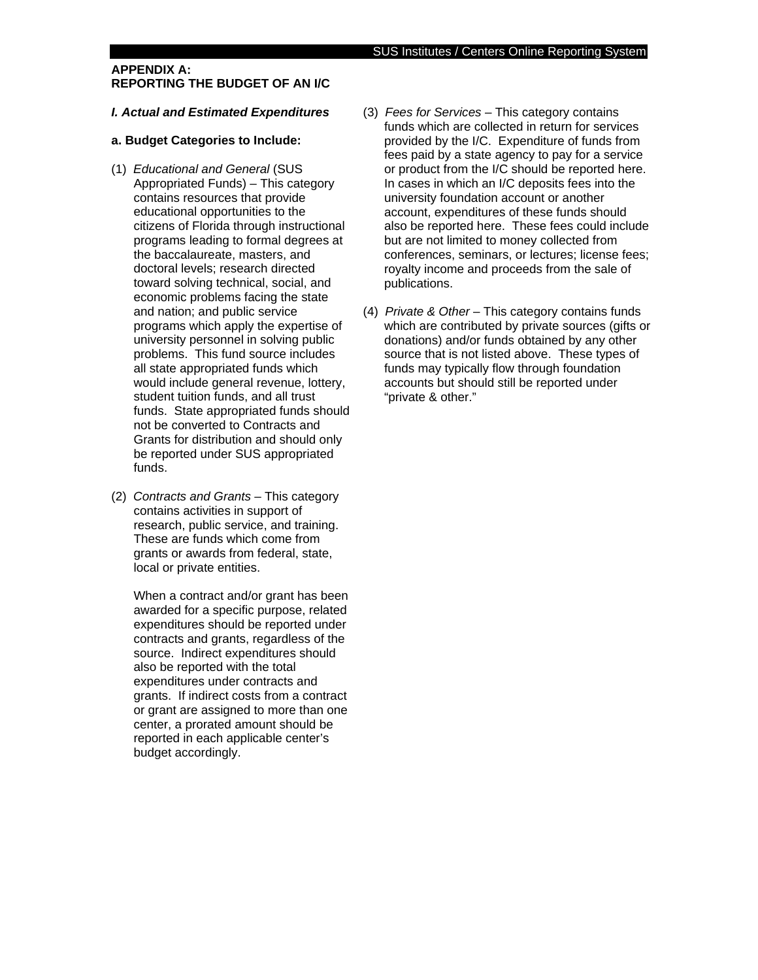### **APPENDIX A: REPORTING THE BUDGET OF AN I/C**

#### *I. Actual and Estimated Expenditures*

### **a. Budget Categories to Include:**

- (1) *Educational and General* (SUS Appropriated Funds) – This category contains resources that provide educational opportunities to the citizens of Florida through instructional programs leading to formal degrees at the baccalaureate, masters, and doctoral levels; research directed toward solving technical, social, and economic problems facing the state and nation; and public service programs which apply the expertise of university personnel in solving public problems. This fund source includes all state appropriated funds which would include general revenue, lottery, student tuition funds, and all trust funds. State appropriated funds should not be converted to Contracts and Grants for distribution and should only be reported under SUS appropriated funds.
- (2) *Contracts and Grants* This category contains activities in support of research, public service, and training. These are funds which come from grants or awards from federal, state, local or private entities.

When a contract and/or grant has been awarded for a specific purpose, related expenditures should be reported under contracts and grants, regardless of the source. Indirect expenditures should also be reported with the total expenditures under contracts and grants. If indirect costs from a contract or grant are assigned to more than one center, a prorated amount should be reported in each applicable center's budget accordingly.

- (3) *Fees for Services* This category contains funds which are collected in return for services provided by the I/C. Expenditure of funds from fees paid by a state agency to pay for a service or product from the I/C should be reported here. In cases in which an I/C deposits fees into the university foundation account or another account, expenditures of these funds should also be reported here. These fees could include but are not limited to money collected from conferences, seminars, or lectures; license fees; royalty income and proceeds from the sale of publications.
- (4) *Private & Other* This category contains funds which are contributed by private sources (gifts or donations) and/or funds obtained by any other source that is not listed above. These types of funds may typically flow through foundation accounts but should still be reported under "private & other."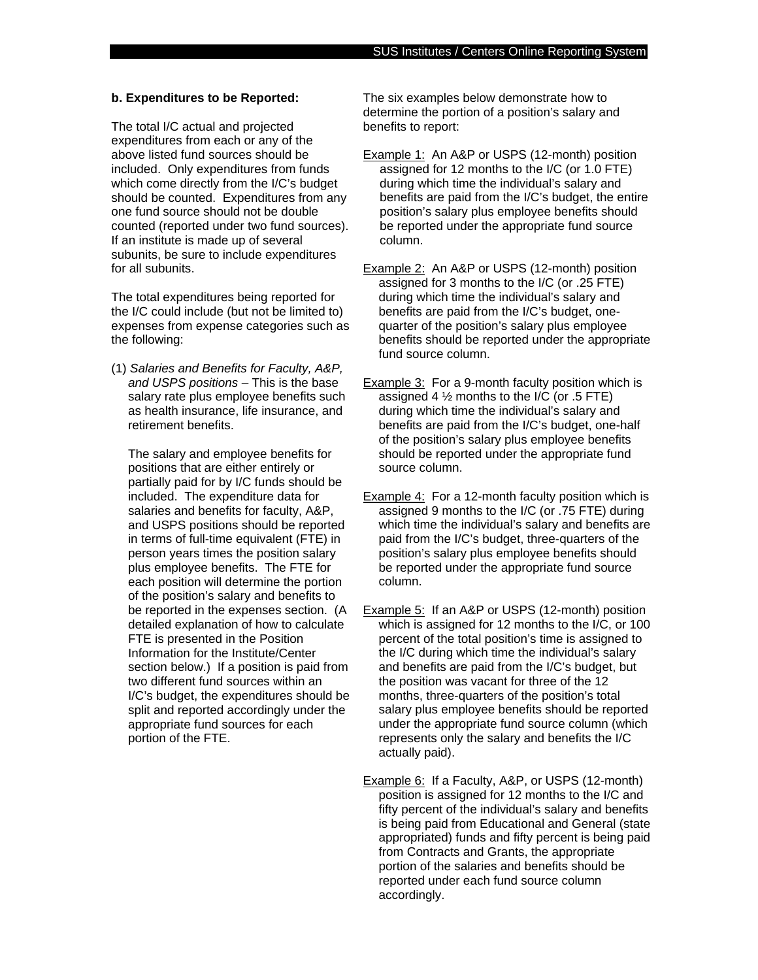#### **b. Expenditures to be Reported:**

The total I/C actual and projected expenditures from each or any of the above listed fund sources should be included. Only expenditures from funds which come directly from the I/C's budget should be counted. Expenditures from any one fund source should not be double counted (reported under two fund sources). If an institute is made up of several subunits, be sure to include expenditures for all subunits.

The total expenditures being reported for the I/C could include (but not be limited to) expenses from expense categories such as the following:

(1) *Salaries and Benefits for Faculty, A&P, and USPS positions* – This is the base salary rate plus employee benefits such as health insurance, life insurance, and retirement benefits.

The salary and employee benefits for positions that are either entirely or partially paid for by I/C funds should be included. The expenditure data for salaries and benefits for faculty, A&P, and USPS positions should be reported in terms of full-time equivalent (FTE) in person years times the position salary plus employee benefits. The FTE for each position will determine the portion of the position's salary and benefits to be reported in the expenses section. (A detailed explanation of how to calculate FTE is presented in the Position Information for the Institute/Center section below.) If a position is paid from two different fund sources within an I/C's budget, the expenditures should be split and reported accordingly under the appropriate fund sources for each portion of the FTE.

The six examples below demonstrate how to determine the portion of a position's salary and benefits to report:

Example 1: An A&P or USPS (12-month) position assigned for 12 months to the I/C (or 1.0 FTE) during which time the individual's salary and benefits are paid from the I/C's budget, the entire position's salary plus employee benefits should be reported under the appropriate fund source column.

Example 2: An A&P or USPS (12-month) position assigned for 3 months to the I/C (or .25 FTE) during which time the individual's salary and benefits are paid from the I/C's budget, onequarter of the position's salary plus employee benefits should be reported under the appropriate fund source column.

- Example 3: For a 9-month faculty position which is assigned 4  $\frac{1}{2}$  months to the I/C (or .5 FTE) during which time the individual's salary and benefits are paid from the I/C's budget, one-half of the position's salary plus employee benefits should be reported under the appropriate fund source column.
- Example 4: For a 12-month faculty position which is assigned 9 months to the I/C (or .75 FTE) during which time the individual's salary and benefits are paid from the I/C's budget, three-quarters of the position's salary plus employee benefits should be reported under the appropriate fund source column.
- Example 5: If an A&P or USPS (12-month) position which is assigned for 12 months to the I/C, or 100 percent of the total position's time is assigned to the I/C during which time the individual's salary and benefits are paid from the I/C's budget, but the position was vacant for three of the 12 months, three-quarters of the position's total salary plus employee benefits should be reported under the appropriate fund source column (which represents only the salary and benefits the I/C actually paid).

Example 6: If a Faculty, A&P, or USPS (12-month) position is assigned for 12 months to the I/C and fifty percent of the individual's salary and benefits is being paid from Educational and General (state appropriated) funds and fifty percent is being paid from Contracts and Grants, the appropriate portion of the salaries and benefits should be reported under each fund source column accordingly.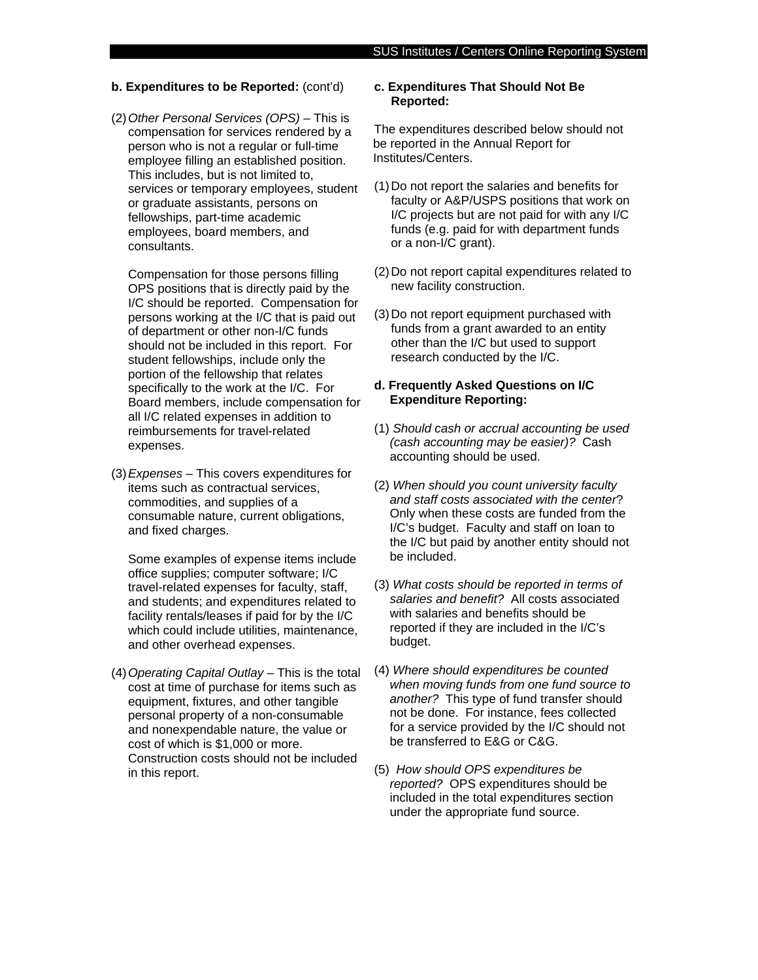#### **b. Expenditures to be Reported:** (cont'd)

(2) *Other Personal Services (OPS)* – This is compensation for services rendered by a person who is not a regular or full-time employee filling an established position. This includes, but is not limited to, services or temporary employees, student or graduate assistants, persons on fellowships, part-time academic employees, board members, and consultants.

 Compensation for those persons filling OPS positions that is directly paid by the I/C should be reported. Compensation for persons working at the I/C that is paid out of department or other non-I/C funds should not be included in this report. For student fellowships, include only the portion of the fellowship that relates specifically to the work at the I/C. For Board members, include compensation for all I/C related expenses in addition to reimbursements for travel-related expenses.

(3) *Expenses* – This covers expenditures for items such as contractual services, commodities, and supplies of a consumable nature, current obligations, and fixed charges.

 Some examples of expense items include office supplies; computer software; I/C travel-related expenses for faculty, staff, and students; and expenditures related to facility rentals/leases if paid for by the I/C which could include utilities, maintenance, and other overhead expenses.

(4) *Operating Capital Outlay* – This is the total cost at time of purchase for items such as equipment, fixtures, and other tangible personal property of a non-consumable and nonexpendable nature, the value or cost of which is \$1,000 or more. Construction costs should not be included in this report.

### **c. Expenditures That Should Not Be Reported:**

The expenditures described below should not be reported in the Annual Report for Institutes/Centers.

- (1) Do not report the salaries and benefits for faculty or A&P/USPS positions that work on I/C projects but are not paid for with any I/C funds (e.g. paid for with department funds or a non-I/C grant).
- (2) Do not report capital expenditures related to new facility construction.
- (3) Do not report equipment purchased with funds from a grant awarded to an entity other than the I/C but used to support research conducted by the I/C.

### **d. Frequently Asked Questions on I/C Expenditure Reporting:**

- (1) *Should cash or accrual accounting be used (cash accounting may be easier)?* Cash accounting should be used.
- (2) *When should you count university faculty and staff costs associated with the center*? Only when these costs are funded from the I/C's budget. Faculty and staff on loan to the I/C but paid by another entity should not be included.
- (3) *What costs should be reported in terms of salaries and benefit?* All costs associated with salaries and benefits should be reported if they are included in the I/C's budget.
- (4) *Where should expenditures be counted when moving funds from one fund source to another?* This type of fund transfer should not be done. For instance, fees collected for a service provided by the I/C should not be transferred to E&G or C&G.
- (5) *How should OPS expenditures be reported?* OPS expenditures should be included in the total expenditures section under the appropriate fund source.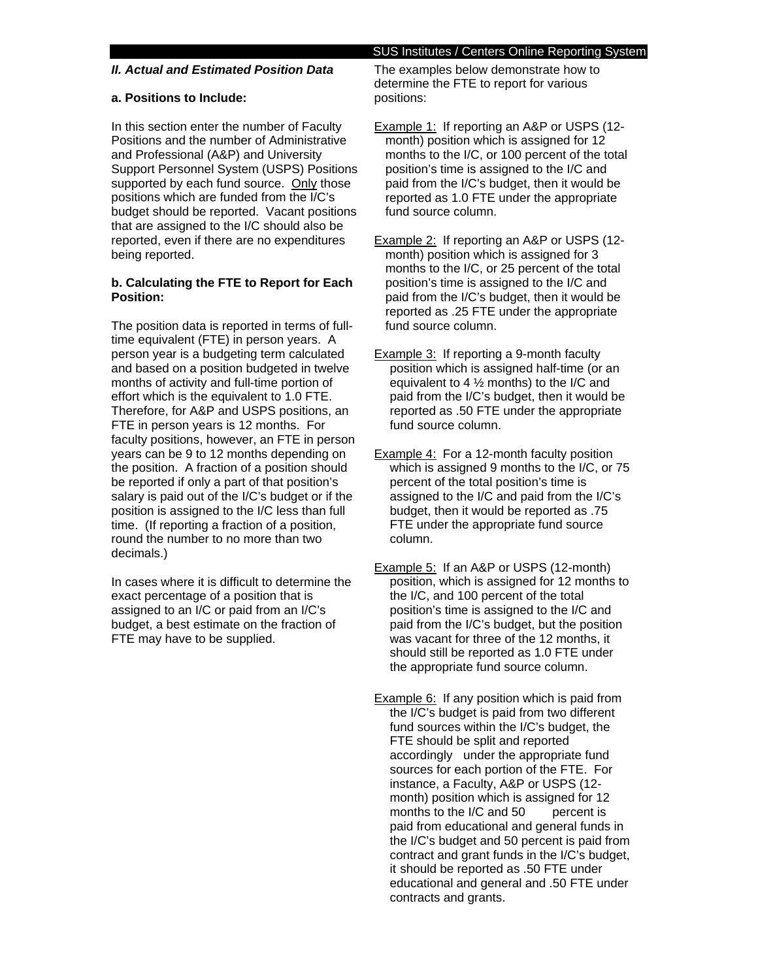# *II. Actual and Estimated Position Data*

# **a. Positions to Include:**

In this section enter the number of Faculty Positions and the number of Administrative and Professional (A&P) and University Support Personnel System (USPS) Positions supported by each fund source. Only those positions which are funded from the I/C's budget should be reported. Vacant positions that are assigned to the I/C should also be reported, even if there are no expenditures being reported.

# **b. Calculating the FTE to Report for Each Position:**

The position data is reported in terms of fulltime equivalent (FTE) in person years. A person year is a budgeting term calculated and based on a position budgeted in twelve months of activity and full-time portion of effort which is the equivalent to 1.0 FTE. Therefore, for A&P and USPS positions, an FTE in person years is 12 months. For faculty positions, however, an FTE in person years can be 9 to 12 months depending on the position. A fraction of a position should be reported if only a part of that position's salary is paid out of the I/C's budget or if the position is assigned to the I/C less than full time. (If reporting a fraction of a position, round the number to no more than two decimals.)

In cases where it is difficult to determine the exact percentage of a position that is assigned to an I/C or paid from an I/C's budget, a best estimate on the fraction of FTE may have to be supplied.

## SUS Institutes / Centers Online Reporting System

The examples below demonstrate how to determine the FTE to report for various positions:

- Example 1: If reporting an A&P or USPS (12 month) position which is assigned for 12 months to the I/C, or 100 percent of the total position's time is assigned to the I/C and paid from the I/C's budget, then it would be reported as 1.0 FTE under the appropriate fund source column.
- Example 2: If reporting an A&P or USPS (12 month) position which is assigned for 3 months to the I/C, or 25 percent of the total position's time is assigned to the I/C and paid from the I/C's budget, then it would be reported as .25 FTE under the appropriate fund source column.
- **Example 3:** If reporting a 9-month faculty position which is assigned half-time (or an equivalent to 4 ½ months) to the I/C and paid from the I/C's budget, then it would be reported as .50 FTE under the appropriate fund source column.
- Example 4: For a 12-month faculty position which is assigned 9 months to the I/C, or 75 percent of the total position's time is assigned to the I/C and paid from the I/C's budget, then it would be reported as .75 FTE under the appropriate fund source column.
- Example 5:If an A&P or USPS (12-month) position, which is assigned for 12 months to the I/C, and 100 percent of the total position's time is assigned to the I/C and paid from the I/C's budget, but the position was vacant for three of the 12 months, it should still be reported as 1.0 FTE under the appropriate fund source column.
- Example 6: If any position which is paid from the I/C's budget is paid from two different fund sources within the I/C's budget, the FTE should be split and reported accordingly under the appropriate fund sources for each portion of the FTE. For instance, a Faculty, A&P or USPS (12 month) position which is assigned for 12 months to the  $I/C$  and  $50$  percent is paid from educational and general funds in the I/C's budget and 50 percent is paid from contract and grant funds in the I/C's budget, it should be reported as .50 FTE under educational and general and .50 FTE under contracts and grants.